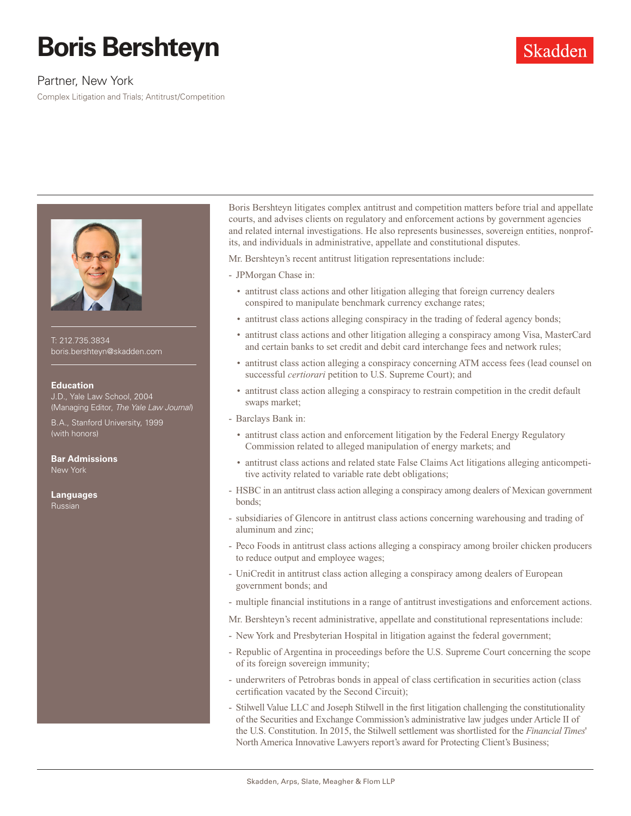# **Boris Bershteyn**

## Partner, New York

Complex Litigation and Trials; Antitrust/Competition



T: 212.735.3834 boris.bershteyn@skadden.com

### **Education**

J.D., Yale Law School, 2004 (Managing Editor, *The Yale Law Journal*)

B.A., Stanford University, 1999 (with honors)

**Bar Admissions** New York

**Languages** Russian

Boris Bershteyn litigates complex antitrust and competition matters before trial and appellate courts, and advises clients on regulatory and enforcement actions by government agencies and related internal investigations. He also represents businesses, sovereign entities, nonprofits, and individuals in administrative, appellate and constitutional disputes.

Skadden

Mr. Bershteyn's recent antitrust litigation representations include:

- JPMorgan Chase in:

- antitrust class actions and other litigation alleging that foreign currency dealers conspired to manipulate benchmark currency exchange rates;
- antitrust class actions alleging conspiracy in the trading of federal agency bonds;
- antitrust class actions and other litigation alleging a conspiracy among Visa, MasterCard and certain banks to set credit and debit card interchange fees and network rules;
- antitrust class action alleging a conspiracy concerning ATM access fees (lead counsel on successful *certiorari* petition to U.S. Supreme Court); and
- antitrust class action alleging a conspiracy to restrain competition in the credit default swaps market;
- Barclays Bank in:
	- antitrust class action and enforcement litigation by the Federal Energy Regulatory Commission related to alleged manipulation of energy markets; and
	- antitrust class actions and related state False Claims Act litigations alleging anticompetitive activity related to variable rate debt obligations;
- HSBC in an antitrust class action alleging a conspiracy among dealers of Mexican government bonds;
- subsidiaries of Glencore in antitrust class actions concerning warehousing and trading of aluminum and zinc;
- Peco Foods in antitrust class actions alleging a conspiracy among broiler chicken producers to reduce output and employee wages;
- UniCredit in antitrust class action alleging a conspiracy among dealers of European government bonds; and
- multiple financial institutions in a range of antitrust investigations and enforcement actions.

Mr. Bershteyn's recent administrative, appellate and constitutional representations include:

- New York and Presbyterian Hospital in litigation against the federal government;
- Republic of Argentina in proceedings before the U.S. Supreme Court concerning the scope of its foreign sovereign immunity;
- underwriters of Petrobras bonds in appeal of class certification in securities action (class certification vacated by the Second Circuit);
- Stilwell Value LLC and Joseph Stilwell in the first litigation challenging the constitutionality of the Securities and Exchange Commission's administrative law judges under Article II of the U.S. Constitution. In 2015, the Stilwell settlement was shortlisted for the *Financial Times*' North America Innovative Lawyers report's award for Protecting Client's Business;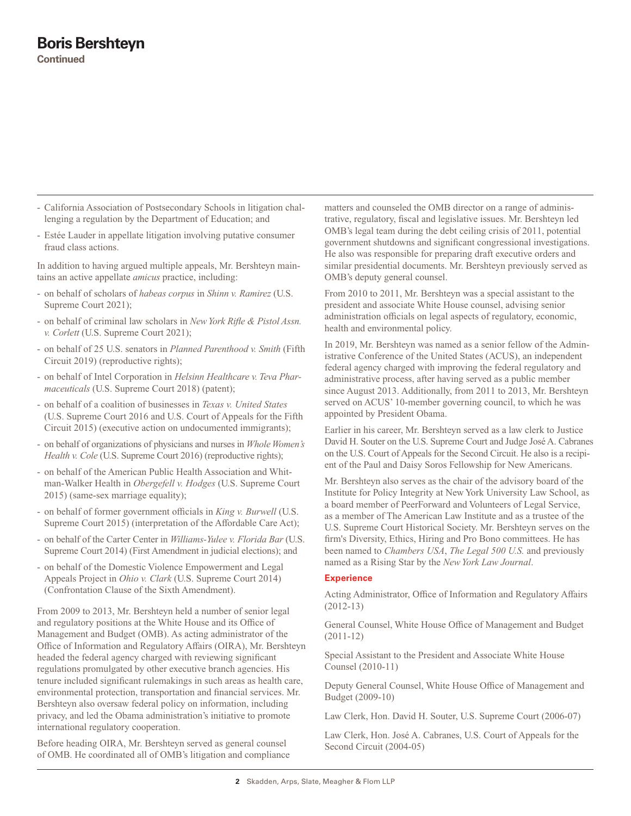- California Association of Postsecondary Schools in litigation challenging a regulation by the Department of Education; and
- Estée Lauder in appellate litigation involving putative consumer fraud class actions.

In addition to having argued multiple appeals, Mr. Bershteyn maintains an active appellate *amicus* practice, including:

- on behalf of scholars of *habeas corpus* in *Shinn v. Ramirez* (U.S. Supreme Court 2021);
- on behalf of criminal law scholars in *New York Rifle & Pistol Assn. v. Corlett* (U.S. Supreme Court 2021);
- on behalf of 25 U.S. senators in *Planned Parenthood v. Smith* (Fifth Circuit 2019) (reproductive rights);
- on behalf of Intel Corporation in *Helsinn Healthcare v. Teva Pharmaceuticals* (U.S. Supreme Court 2018) (patent);
- on behalf of a coalition of businesses in *Texas v. United States* (U.S. Supreme Court 2016 and U.S. Court of Appeals for the Fifth Circuit 2015) (executive action on undocumented immigrants);
- on behalf of organizations of physicians and nurses in *Whole Women's Health v. Cole* (U.S. Supreme Court 2016) (reproductive rights);
- on behalf of the American Public Health Association and Whitman-Walker Health in *Obergefell v. Hodges* (U.S. Supreme Court 2015) (same-sex marriage equality);
- on behalf of former government officials in *King v. Burwell* (U.S. Supreme Court 2015) (interpretation of the Affordable Care Act);
- on behalf of the Carter Center in *Williams-Yulee v. Florida Bar* (U.S. Supreme Court 2014) (First Amendment in judicial elections); and
- on behalf of the Domestic Violence Empowerment and Legal Appeals Project in *Ohio v. Clark* (U.S. Supreme Court 2014) (Confrontation Clause of the Sixth Amendment).

From 2009 to 2013, Mr. Bershteyn held a number of senior legal and regulatory positions at the White House and its Office of Management and Budget (OMB). As acting administrator of the Office of Information and Regulatory Affairs (OIRA), Mr. Bershteyn headed the federal agency charged with reviewing significant regulations promulgated by other executive branch agencies. His tenure included significant rulemakings in such areas as health care, environmental protection, transportation and financial services. Mr. Bershteyn also oversaw federal policy on information, including privacy, and led the Obama administration's initiative to promote international regulatory cooperation.

Before heading OIRA, Mr. Bershteyn served as general counsel of OMB. He coordinated all of OMB's litigation and compliance matters and counseled the OMB director on a range of administrative, regulatory, fiscal and legislative issues. Mr. Bershteyn led OMB's legal team during the debt ceiling crisis of 2011, potential government shutdowns and significant congressional investigations. He also was responsible for preparing draft executive orders and similar presidential documents. Mr. Bershteyn previously served as OMB's deputy general counsel.

From 2010 to 2011, Mr. Bershteyn was a special assistant to the president and associate White House counsel, advising senior administration officials on legal aspects of regulatory, economic, health and environmental policy.

In 2019, Mr. Bershteyn was named as a senior fellow of the Administrative Conference of the United States (ACUS), an independent federal agency charged with improving the federal regulatory and administrative process, after having served as a public member since August 2013. Additionally, from 2011 to 2013, Mr. Bershteyn served on ACUS' 10-member governing council, to which he was appointed by President Obama.

Earlier in his career, Mr. Bershteyn served as a law clerk to Justice David H. Souter on the U.S. Supreme Court and Judge José A. Cabranes on the U.S. Court of Appeals for the Second Circuit. He also is a recipient of the Paul and Daisy Soros Fellowship for New Americans.

Mr. Bershteyn also serves as the chair of the advisory board of the Institute for Policy Integrity at New York University Law School, as a board member of PeerForward and Volunteers of Legal Service, as a member of The American Law Institute and as a trustee of the U.S. Supreme Court Historical Society. Mr. Bershteyn serves on the firm's Diversity, Ethics, Hiring and Pro Bono committees. He has been named to *Chambers USA*, *The Legal 500 U.S.* and previously named as a Rising Star by the *New York Law Journal*.

### **Experience**

Acting Administrator, Office of Information and Regulatory Affairs (2012-13)

General Counsel, White House Office of Management and Budget (2011-12)

Special Assistant to the President and Associate White House Counsel (2010-11)

Deputy General Counsel, White House Office of Management and Budget (2009-10)

Law Clerk, Hon. David H. Souter, U.S. Supreme Court (2006-07)

Law Clerk, Hon. José A. Cabranes, U.S. Court of Appeals for the Second Circuit (2004-05)